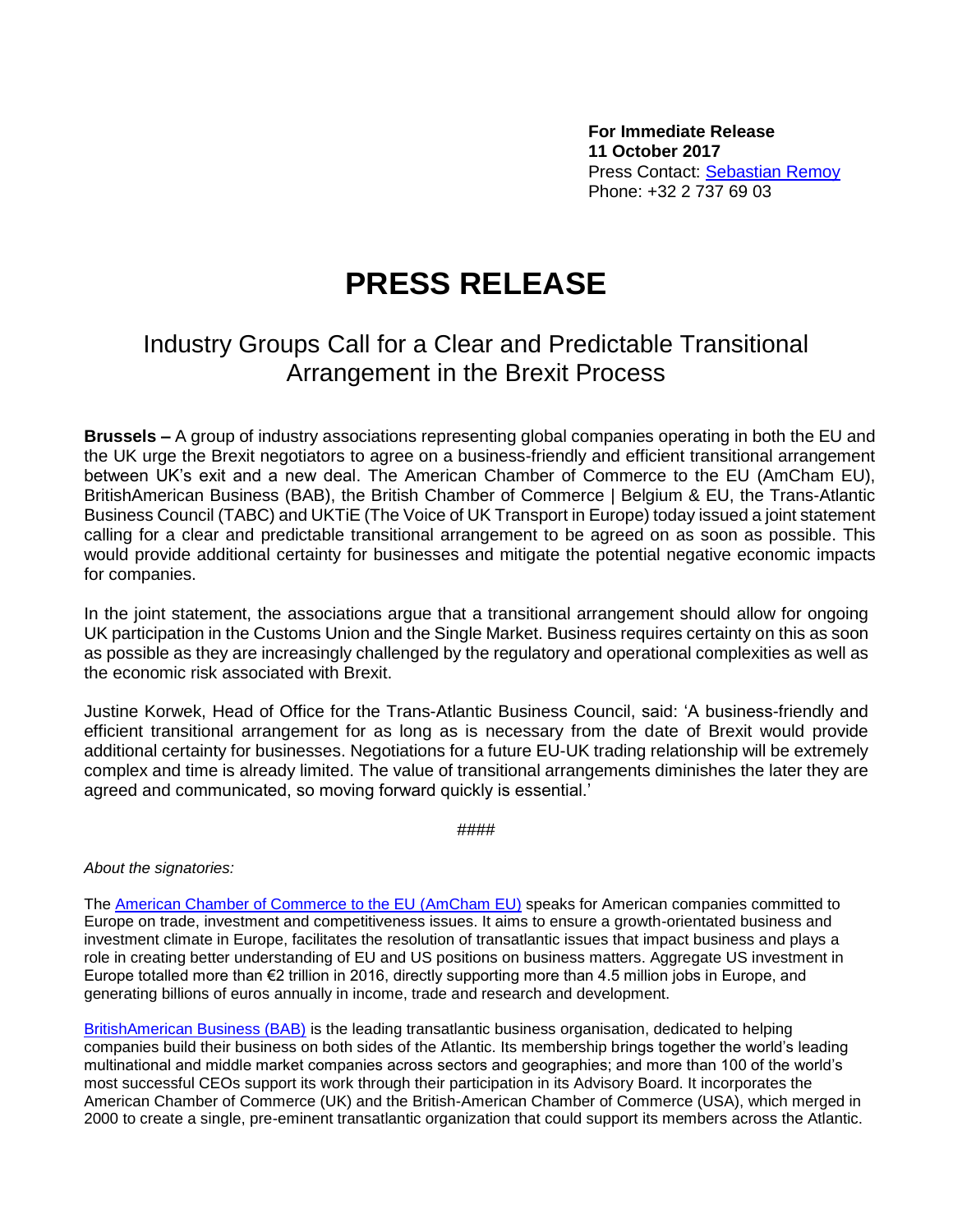**For Immediate Release 11 October 2017** Press Contact: [Sebastian Remoy](mailto:sebastian.remoy@kreab.com) Phone: +32 2 737 69 03

## **PRESS RELEASE**

## Industry Groups Call for a Clear and Predictable Transitional Arrangement in the Brexit Process

**Brussels –** A group of industry associations representing global companies operating in both the EU and the UK urge the Brexit negotiators to agree on a business-friendly and efficient transitional arrangement between UK's exit and a new deal. The American Chamber of Commerce to the EU (AmCham EU), BritishAmerican Business (BAB), the British Chamber of Commerce | Belgium & EU, the Trans-Atlantic Business Council (TABC) and UKTiE (The Voice of UK Transport in Europe) today issued a joint statement calling for a clear and predictable transitional arrangement to be agreed on as soon as possible. This would provide additional certainty for businesses and mitigate the potential negative economic impacts for companies.

In the joint statement, the associations argue that a transitional arrangement should allow for ongoing UK participation in the Customs Union and the Single Market. Business requires certainty on this as soon as possible as they are increasingly challenged by the regulatory and operational complexities as well as the economic risk associated with Brexit.

Justine Korwek, Head of Office for the Trans-Atlantic Business Council, said: 'A business-friendly and efficient transitional arrangement for as long as is necessary from the date of Brexit would provide additional certainty for businesses. Negotiations for a future EU-UK trading relationship will be extremely complex and time is already limited. The value of transitional arrangements diminishes the later they are agreed and communicated, so moving forward quickly is essential.'

####

*About the signatories:*

The [American Chamber of Commerce to the EU](http://www.amchameu.eu/) (AmCham EU) speaks for American companies committed to Europe on trade, investment and competitiveness issues. It aims to ensure a growth-orientated business and investment climate in Europe, facilitates the resolution of transatlantic issues that impact business and plays a role in creating better understanding of EU and US positions on business matters. Aggregate US investment in Europe totalled more than €2 trillion in 2016, directly supporting more than 4.5 million jobs in Europe, and generating billions of euros annually in income, trade and research and development.

[BritishAmerican Business \(BAB\)](http://www.babinc.org/) is the leading transatlantic business organisation, dedicated to helping companies build their business on both sides of the Atlantic. Its membership brings together the world's leading multinational and middle market companies across sectors and geographies; and more than 100 of the world's most successful CEOs support its work through their participation in its Advisory Board. It incorporates the American Chamber of Commerce (UK) and the British-American Chamber of Commerce (USA), which merged in 2000 to create a single, pre-eminent transatlantic organization that could support its members across the Atlantic.